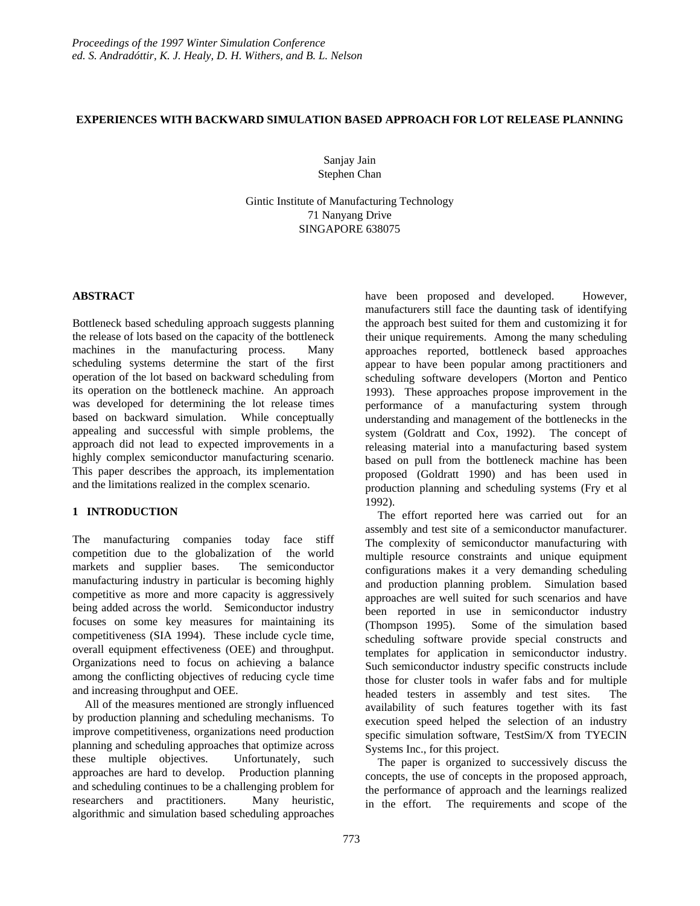# **EXPERIENCES WITH BACKWARD SIMULATION BASED APPROACH FOR LOT RELEASE PLANNING**

Sanjay Jain Stephen Chan

Gintic Institute of Manufacturing Technology 71 Nanyang Drive SINGAPORE 638075

## **ABSTRACT**

Bottleneck based scheduling approach suggests planning the release of lots based on the capacity of the bottleneck machines in the manufacturing process. Many scheduling systems determine the start of the first operation of the lot based on backward scheduling from its operation on the bottleneck machine. An approach was developed for determining the lot release times based on backward simulation. While conceptually appealing and successful with simple problems, the approach did not lead to expected improvements in a highly complex semiconductor manufacturing scenario. This paper describes the approach, its implementation and the limitations realized in the complex scenario.

## **1 INTRODUCTION**

The manufacturing companies today face stiff competition due to the globalization of the world markets and supplier bases. The semiconductor manufacturing industry in particular is becoming highly competitive as more and more capacity is aggressively being added across the world. Semiconductor industry focuses on some key measures for maintaining its competitiveness (SIA 1994). These include cycle time, overall equipment effectiveness (OEE) and throughput. Organizations need to focus on achieving a balance among the conflicting objectives of reducing cycle time and increasing throughput and OEE.

All of the measures mentioned are strongly influenced by production planning and scheduling mechanisms. To improve competitiveness, organizations need production planning and scheduling approaches that optimize across these multiple objectives. Unfortunately, such approaches are hard to develop. Production planning and scheduling continues to be a challenging problem for researchers and practitioners. Many heuristic, algorithmic and simulation based scheduling approaches have been proposed and developed. However, manufacturers still face the daunting task of identifying the approach best suited for them and customizing it for their unique requirements. Among the many scheduling approaches reported, bottleneck based approaches appear to have been popular among practitioners and scheduling software developers (Morton and Pentico 1993). These approaches propose improvement in the performance of a manufacturing system through understanding and management of the bottlenecks in the system (Goldratt and Cox, 1992). The concept of releasing material into a manufacturing based system based on pull from the bottleneck machine has been proposed (Goldratt 1990) and has been used in production planning and scheduling systems (Fry et al 1992).

The effort reported here was carried out for an assembly and test site of a semiconductor manufacturer. The complexity of semiconductor manufacturing with multiple resource constraints and unique equipment configurations makes it a very demanding scheduling and production planning problem. Simulation based approaches are well suited for such scenarios and have been reported in use in semiconductor industry (Thompson 1995). Some of the simulation based scheduling software provide special constructs and templates for application in semiconductor industry. Such semiconductor industry specific constructs include those for cluster tools in wafer fabs and for multiple headed testers in assembly and test sites. The availability of such features together with its fast execution speed helped the selection of an industry specific simulation software, TestSim/X from TYECIN Systems Inc., for this project.

The paper is organized to successively discuss the concepts, the use of concepts in the proposed approach, the performance of approach and the learnings realized in the effort. The requirements and scope of the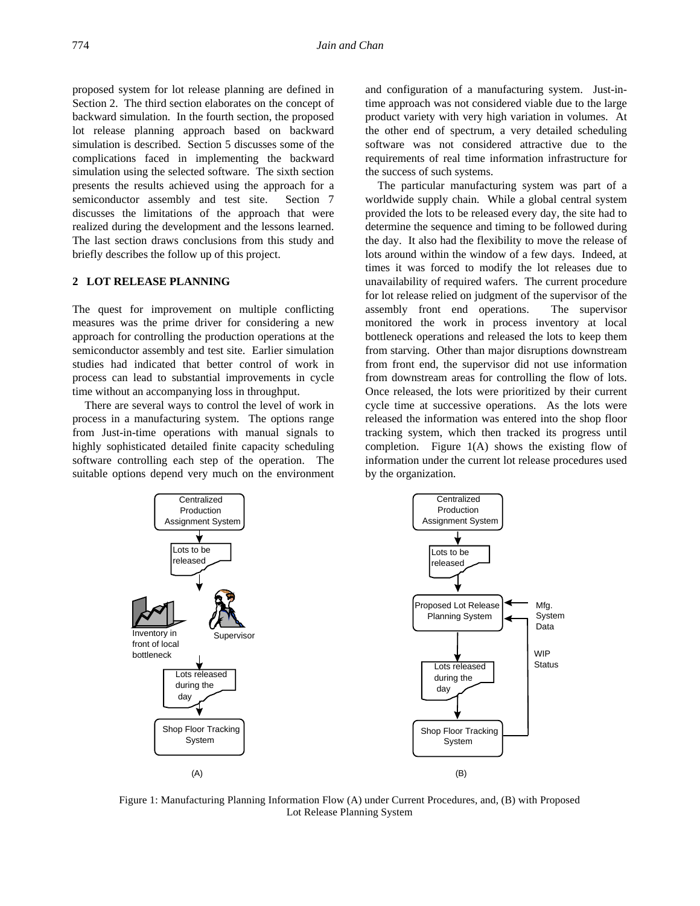proposed system for lot release planning are defined in Section 2. The third section elaborates on the concept of backward simulation. In the fourth section, the proposed lot release planning approach based on backward simulation is described. Section 5 discusses some of the complications faced in implementing the backward simulation using the selected software. The sixth section presents the results achieved using the approach for a semiconductor assembly and test site. Section 7 discusses the limitations of the approach that were realized during the development and the lessons learned. The last section draws conclusions from this study and briefly describes the follow up of this project.

### **2 LOT RELEASE PLANNING**

The quest for improvement on multiple conflicting measures was the prime driver for considering a new approach for controlling the production operations at the semiconductor assembly and test site. Earlier simulation studies had indicated that better control of work in process can lead to substantial improvements in cycle time without an accompanying loss in throughput.

There are several ways to control the level of work in process in a manufacturing system. The options range from Just-in-time operations with manual signals to highly sophisticated detailed finite capacity scheduling software controlling each step of the operation. The suitable options depend very much on the environment

and configuration of a manufacturing system. Just-intime approach was not considered viable due to the large product variety with very high variation in volumes. At the other end of spectrum, a very detailed scheduling software was not considered attractive due to the requirements of real time information infrastructure for the success of such systems.

The particular manufacturing system was part of a worldwide supply chain. While a global central system provided the lots to be released every day, the site had to determine the sequence and timing to be followed during the day. It also had the flexibility to move the release of lots around within the window of a few days. Indeed, at times it was forced to modify the lot releases due to unavailability of required wafers. The current procedure for lot release relied on judgment of the supervisor of the assembly front end operations. The supervisor monitored the work in process inventory at local bottleneck operations and released the lots to keep them from starving. Other than major disruptions downstream from front end, the supervisor did not use information from downstream areas for controlling the flow of lots. Once released, the lots were prioritized by their current cycle time at successive operations. As the lots were released the information was entered into the shop floor tracking system, which then tracked its progress until completion. Figure  $1(A)$  shows the existing flow of information under the current lot release procedures used by the organization.



Figure 1: Manufacturing Planning Information Flow (A) under Current Procedures, and, (B) with Proposed Lot Release Planning System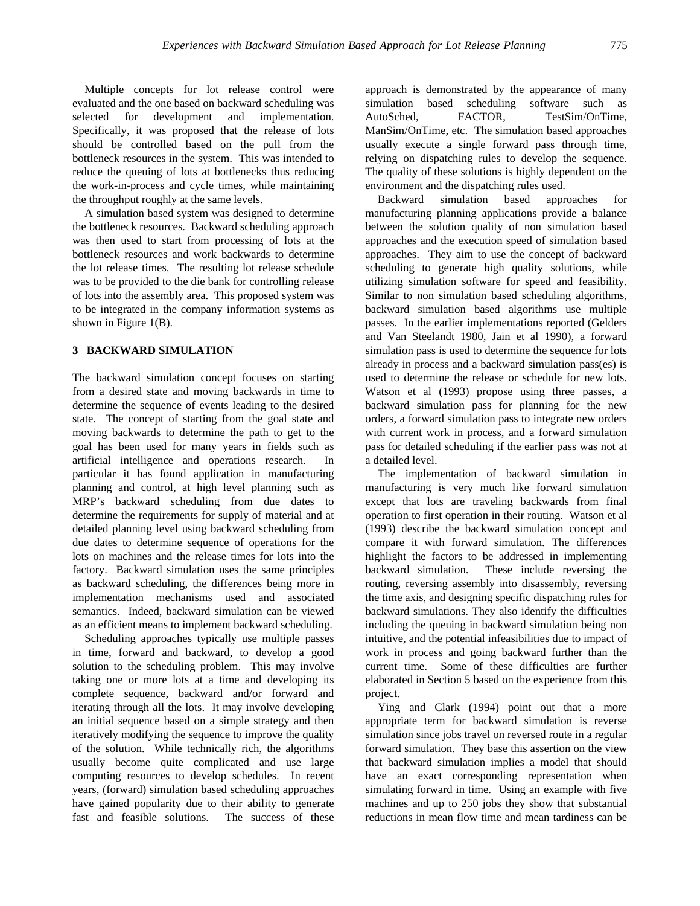Multiple concepts for lot release control were evaluated and the one based on backward scheduling was selected for development and implementation. Specifically, it was proposed that the release of lots should be controlled based on the pull from the bottleneck resources in the system. This was intended to reduce the queuing of lots at bottlenecks thus reducing the work-in-process and cycle times, while maintaining the throughput roughly at the same levels.

A simulation based system was designed to determine the bottleneck resources. Backward scheduling approach was then used to start from processing of lots at the bottleneck resources and work backwards to determine the lot release times. The resulting lot release schedule was to be provided to the die bank for controlling release of lots into the assembly area. This proposed system was to be integrated in the company information systems as shown in Figure 1(B).

#### **3 BACKWARD SIMULATION**

The backward simulation concept focuses on starting from a desired state and moving backwards in time to determine the sequence of events leading to the desired state. The concept of starting from the goal state and moving backwards to determine the path to get to the goal has been used for many years in fields such as artificial intelligence and operations research. In particular it has found application in manufacturing planning and control, at high level planning such as MRP's backward scheduling from due dates to determine the requirements for supply of material and at detailed planning level using backward scheduling from due dates to determine sequence of operations for the lots on machines and the release times for lots into the factory. Backward simulation uses the same principles as backward scheduling, the differences being more in implementation mechanisms used and associated semantics. Indeed, backward simulation can be viewed as an efficient means to implement backward scheduling.

Scheduling approaches typically use multiple passes in time, forward and backward, to develop a good solution to the scheduling problem. This may involve taking one or more lots at a time and developing its complete sequence, backward and/or forward and iterating through all the lots. It may involve developing an initial sequence based on a simple strategy and then iteratively modifying the sequence to improve the quality of the solution. While technically rich, the algorithms usually become quite complicated and use large computing resources to develop schedules. In recent years, (forward) simulation based scheduling approaches have gained popularity due to their ability to generate fast and feasible solutions. The success of these

approach is demonstrated by the appearance of many simulation based scheduling software such as AutoSched, FACTOR, TestSim/OnTime, ManSim/OnTime, etc. The simulation based approaches usually execute a single forward pass through time, relying on dispatching rules to develop the sequence. The quality of these solutions is highly dependent on the environment and the dispatching rules used.

Backward simulation based approaches for manufacturing planning applications provide a balance between the solution quality of non simulation based approaches and the execution speed of simulation based approaches. They aim to use the concept of backward scheduling to generate high quality solutions, while utilizing simulation software for speed and feasibility. Similar to non simulation based scheduling algorithms, backward simulation based algorithms use multiple passes. In the earlier implementations reported (Gelders and Van Steelandt 1980, Jain et al 1990), a forward simulation pass is used to determine the sequence for lots already in process and a backward simulation pass(es) is used to determine the release or schedule for new lots. Watson et al (1993) propose using three passes, a backward simulation pass for planning for the new orders, a forward simulation pass to integrate new orders with current work in process, and a forward simulation pass for detailed scheduling if the earlier pass was not at a detailed level.

The implementation of backward simulation in manufacturing is very much like forward simulation except that lots are traveling backwards from final operation to first operation in their routing. Watson et al (1993) describe the backward simulation concept and compare it with forward simulation. The differences highlight the factors to be addressed in implementing backward simulation. These include reversing the routing, reversing assembly into disassembly, reversing the time axis, and designing specific dispatching rules for backward simulations. They also identify the difficulties including the queuing in backward simulation being non intuitive, and the potential infeasibilities due to impact of work in process and going backward further than the current time. Some of these difficulties are further elaborated in Section 5 based on the experience from this project.

Ying and Clark (1994) point out that a more appropriate term for backward simulation is reverse simulation since jobs travel on reversed route in a regular forward simulation. They base this assertion on the view that backward simulation implies a model that should have an exact corresponding representation when simulating forward in time. Using an example with five machines and up to 250 jobs they show that substantial reductions in mean flow time and mean tardiness can be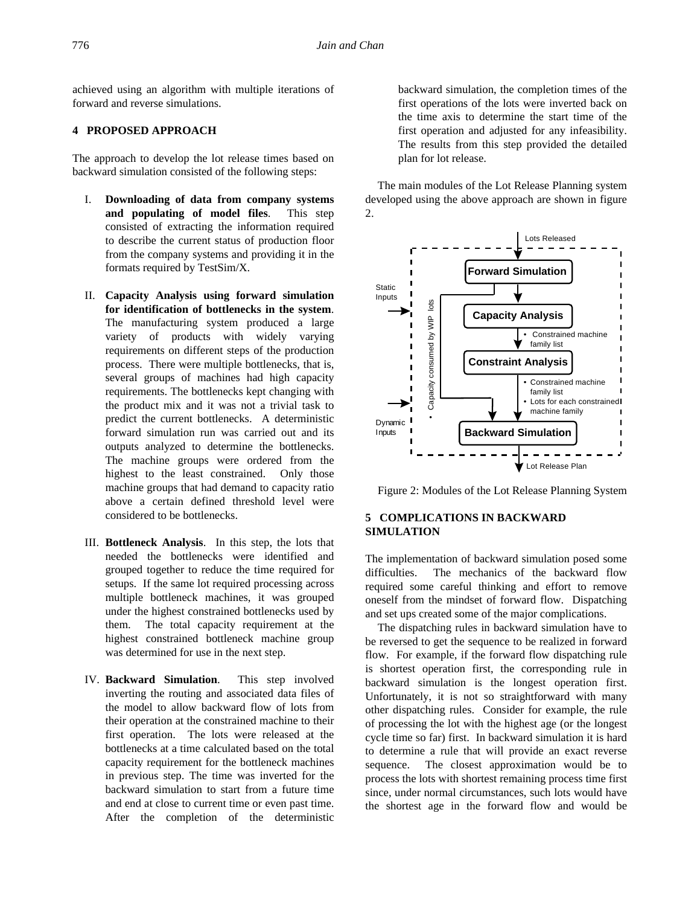achieved using an algorithm with multiple iterations of forward and reverse simulations.

### **4 PROPOSED APPROACH**

The approach to develop the lot release times based on backward simulation consisted of the following steps:

- I. **Downloading of data from company systems and populating of model files**. This step consisted of extracting the information required to describe the current status of production floor from the company systems and providing it in the formats required by TestSim/X.
- II. **Capacity Analysis using forward simulation for identification of bottlenecks in the system**. The manufacturing system produced a large variety of products with widely varying requirements on different steps of the production process. There were multiple bottlenecks, that is, several groups of machines had high capacity requirements. The bottlenecks kept changing with the product mix and it was not a trivial task to predict the current bottlenecks. A deterministic forward simulation run was carried out and its outputs analyzed to determine the bottlenecks. The machine groups were ordered from the highest to the least constrained. Only those machine groups that had demand to capacity ratio above a certain defined threshold level were considered to be bottlenecks.
- III. **Bottleneck Analysis**. In this step, the lots that needed the bottlenecks were identified and grouped together to reduce the time required for setups. If the same lot required processing across multiple bottleneck machines, it was grouped under the highest constrained bottlenecks used by them. The total capacity requirement at the highest constrained bottleneck machine group was determined for use in the next step.
- IV. **Backward Simulation**. This step involved inverting the routing and associated data files of the model to allow backward flow of lots from their operation at the constrained machine to their first operation. The lots were released at the bottlenecks at a time calculated based on the total capacity requirement for the bottleneck machines in previous step. The time was inverted for the backward simulation to start from a future time and end at close to current time or even past time. After the completion of the deterministic

backward simulation, the completion times of the first operations of the lots were inverted back on the time axis to determine the start time of the first operation and adjusted for any infeasibility. The results from this step provided the detailed plan for lot release.

The main modules of the Lot Release Planning system developed using the above approach are shown in figure 2.



Figure 2: Modules of the Lot Release Planning System

# **5 COMPLICATIONS IN BACKWARD SIMULATION**

The implementation of backward simulation posed some difficulties. The mechanics of the backward flow required some careful thinking and effort to remove oneself from the mindset of forward flow. Dispatching and set ups created some of the major complications.

The dispatching rules in backward simulation have to be reversed to get the sequence to be realized in forward flow. For example, if the forward flow dispatching rule is shortest operation first, the corresponding rule in backward simulation is the longest operation first. Unfortunately, it is not so straightforward with many other dispatching rules. Consider for example, the rule of processing the lot with the highest age (or the longest cycle time so far) first. In backward simulation it is hard to determine a rule that will provide an exact reverse sequence. The closest approximation would be to process the lots with shortest remaining process time first since, under normal circumstances, such lots would have the shortest age in the forward flow and would be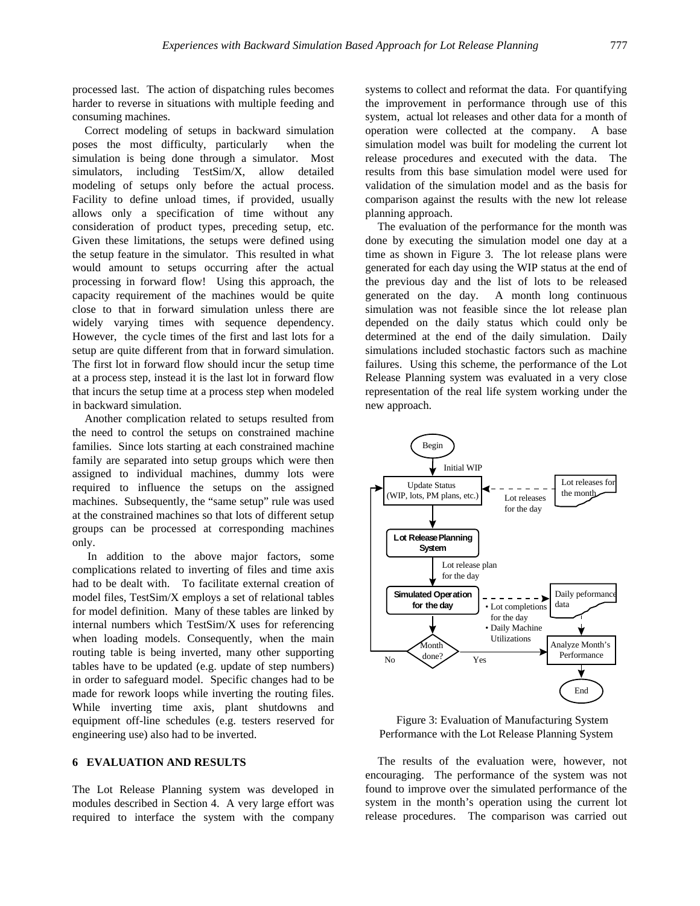processed last. The action of dispatching rules becomes harder to reverse in situations with multiple feeding and consuming machines.

Correct modeling of setups in backward simulation poses the most difficulty, particularly when the simulation is being done through a simulator. Most simulators, including TestSim/X, allow detailed modeling of setups only before the actual process. Facility to define unload times, if provided, usually allows only a specification of time without any consideration of product types, preceding setup, etc. Given these limitations, the setups were defined using the setup feature in the simulator. This resulted in what would amount to setups occurring after the actual processing in forward flow! Using this approach, the capacity requirement of the machines would be quite close to that in forward simulation unless there are widely varying times with sequence dependency. However, the cycle times of the first and last lots for a setup are quite different from that in forward simulation. The first lot in forward flow should incur the setup time at a process step, instead it is the last lot in forward flow that incurs the setup time at a process step when modeled in backward simulation.

Another complication related to setups resulted from the need to control the setups on constrained machine families. Since lots starting at each constrained machine family are separated into setup groups which were then assigned to individual machines, dummy lots were required to influence the setups on the assigned machines. Subsequently, the "same setup" rule was used at the constrained machines so that lots of different setup groups can be processed at corresponding machines only.

 In addition to the above major factors, some complications related to inverting of files and time axis had to be dealt with. To facilitate external creation of model files, TestSim/X employs a set of relational tables for model definition. Many of these tables are linked by internal numbers which TestSim/X uses for referencing when loading models. Consequently, when the main routing table is being inverted, many other supporting tables have to be updated (e.g. update of step numbers) in order to safeguard model. Specific changes had to be made for rework loops while inverting the routing files. While inverting time axis, plant shutdowns and equipment off-line schedules (e.g. testers reserved for engineering use) also had to be inverted.

### **6 EVALUATION AND RESULTS**

The Lot Release Planning system was developed in modules described in Section 4. A very large effort was required to interface the system with the company

systems to collect and reformat the data. For quantifying the improvement in performance through use of this system, actual lot releases and other data for a month of operation were collected at the company. A base simulation model was built for modeling the current lot release procedures and executed with the data. The results from this base simulation model were used for validation of the simulation model and as the basis for comparison against the results with the new lot release planning approach.

The evaluation of the performance for the month was done by executing the simulation model one day at a time as shown in Figure 3. The lot release plans were generated for each day using the WIP status at the end of the previous day and the list of lots to be released generated on the day. A month long continuous simulation was not feasible since the lot release plan depended on the daily status which could only be determined at the end of the daily simulation. Daily simulations included stochastic factors such as machine failures. Using this scheme, the performance of the Lot Release Planning system was evaluated in a very close representation of the real life system working under the new approach.



Figure 3: Evaluation of Manufacturing System Performance with the Lot Release Planning System

The results of the evaluation were, however, not encouraging. The performance of the system was not found to improve over the simulated performance of the system in the month's operation using the current lot release procedures. The comparison was carried out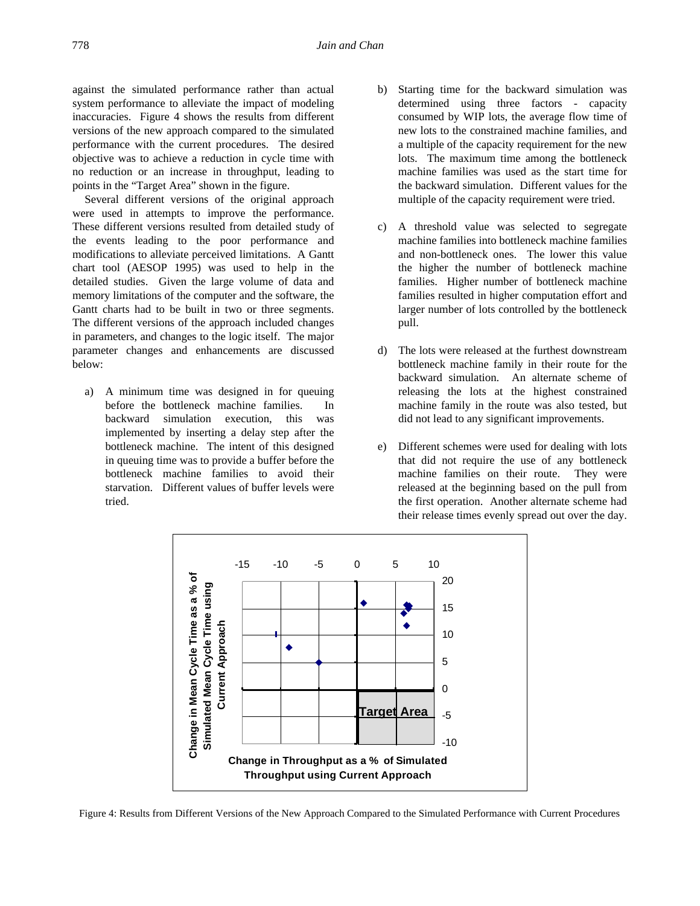against the simulated performance rather than actual system performance to alleviate the impact of modeling inaccuracies. Figure 4 shows the results from different versions of the new approach compared to the simulated performance with the current procedures. The desired objective was to achieve a reduction in cycle time with no reduction or an increase in throughput, leading to points in the "Target Area" shown in the figure.

Several different versions of the original approach were used in attempts to improve the performance. These different versions resulted from detailed study of the events leading to the poor performance and modifications to alleviate perceived limitations. A Gantt chart tool (AESOP 1995) was used to help in the detailed studies. Given the large volume of data and memory limitations of the computer and the software, the Gantt charts had to be built in two or three segments. The different versions of the approach included changes in parameters, and changes to the logic itself. The major parameter changes and enhancements are discussed below:

a) A minimum time was designed in for queuing before the bottleneck machine families. In backward simulation execution, this was implemented by inserting a delay step after the bottleneck machine. The intent of this designed in queuing time was to provide a buffer before the bottleneck machine families to avoid their starvation. Different values of buffer levels were tried.

- b) Starting time for the backward simulation was determined using three factors - capacity consumed by WIP lots, the average flow time of new lots to the constrained machine families, and a multiple of the capacity requirement for the new lots. The maximum time among the bottleneck machine families was used as the start time for the backward simulation. Different values for the multiple of the capacity requirement were tried.
- c) A threshold value was selected to segregate machine families into bottleneck machine families and non-bottleneck ones. The lower this value the higher the number of bottleneck machine families. Higher number of bottleneck machine families resulted in higher computation effort and larger number of lots controlled by the bottleneck pull.
- d) The lots were released at the furthest downstream bottleneck machine family in their route for the backward simulation. An alternate scheme of releasing the lots at the highest constrained machine family in the route was also tested, but did not lead to any significant improvements.
- e) Different schemes were used for dealing with lots that did not require the use of any bottleneck machine families on their route. They were released at the beginning based on the pull from the first operation. Another alternate scheme had their release times evenly spread out over the day.



Figure 4: Results from Different Versions of the New Approach Compared to the Simulated Performance with Current Procedures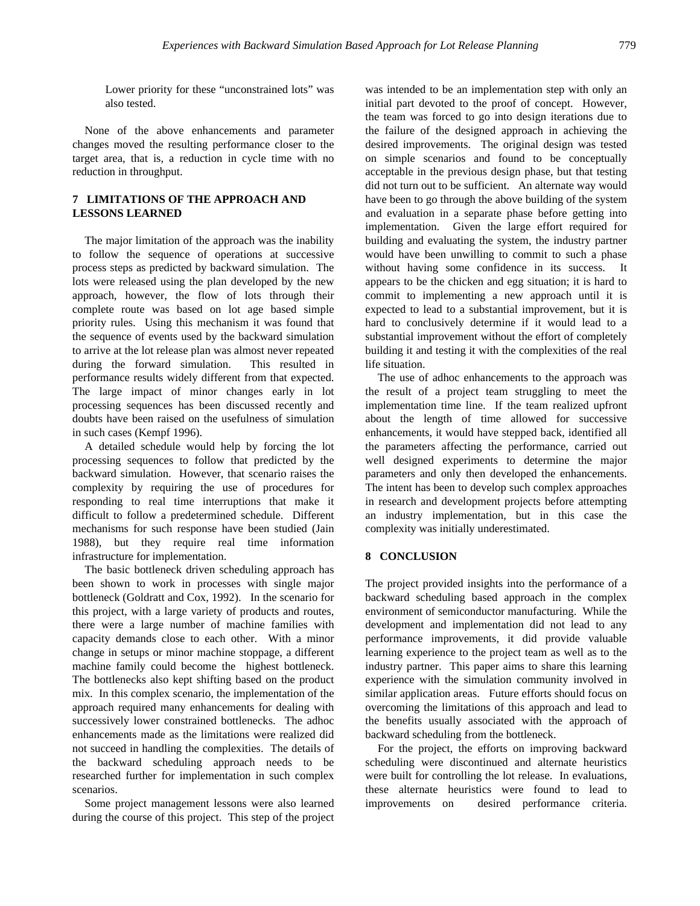Lower priority for these "unconstrained lots" was also tested.

None of the above enhancements and parameter changes moved the resulting performance closer to the target area, that is, a reduction in cycle time with no reduction in throughput.

### **7 LIMITATIONS OF THE APPROACH AND LESSONS LEARNED**

The major limitation of the approach was the inability to follow the sequence of operations at successive process steps as predicted by backward simulation. The lots were released using the plan developed by the new approach, however, the flow of lots through their complete route was based on lot age based simple priority rules. Using this mechanism it was found that the sequence of events used by the backward simulation to arrive at the lot release plan was almost never repeated during the forward simulation. This resulted in performance results widely different from that expected. The large impact of minor changes early in lot processing sequences has been discussed recently and doubts have been raised on the usefulness of simulation in such cases (Kempf 1996).

A detailed schedule would help by forcing the lot processing sequences to follow that predicted by the backward simulation. However, that scenario raises the complexity by requiring the use of procedures for responding to real time interruptions that make it difficult to follow a predetermined schedule. Different mechanisms for such response have been studied (Jain 1988), but they require real time information infrastructure for implementation.

The basic bottleneck driven scheduling approach has been shown to work in processes with single major bottleneck (Goldratt and Cox, 1992). In the scenario for this project, with a large variety of products and routes, there were a large number of machine families with capacity demands close to each other. With a minor change in setups or minor machine stoppage, a different machine family could become the highest bottleneck. The bottlenecks also kept shifting based on the product mix. In this complex scenario, the implementation of the approach required many enhancements for dealing with successively lower constrained bottlenecks. The adhoc enhancements made as the limitations were realized did not succeed in handling the complexities. The details of the backward scheduling approach needs to be researched further for implementation in such complex scenarios.

Some project management lessons were also learned during the course of this project. This step of the project

was intended to be an implementation step with only an initial part devoted to the proof of concept. However, the team was forced to go into design iterations due to the failure of the designed approach in achieving the desired improvements. The original design was tested on simple scenarios and found to be conceptually acceptable in the previous design phase, but that testing did not turn out to be sufficient. An alternate way would have been to go through the above building of the system and evaluation in a separate phase before getting into implementation. Given the large effort required for building and evaluating the system, the industry partner would have been unwilling to commit to such a phase without having some confidence in its success. It appears to be the chicken and egg situation; it is hard to commit to implementing a new approach until it is expected to lead to a substantial improvement, but it is hard to conclusively determine if it would lead to a substantial improvement without the effort of completely building it and testing it with the complexities of the real life situation.

The use of adhoc enhancements to the approach was the result of a project team struggling to meet the implementation time line. If the team realized upfront about the length of time allowed for successive enhancements, it would have stepped back, identified all the parameters affecting the performance, carried out well designed experiments to determine the major parameters and only then developed the enhancements. The intent has been to develop such complex approaches in research and development projects before attempting an industry implementation, but in this case the complexity was initially underestimated.

#### **8 CONCLUSION**

The project provided insights into the performance of a backward scheduling based approach in the complex environment of semiconductor manufacturing. While the development and implementation did not lead to any performance improvements, it did provide valuable learning experience to the project team as well as to the industry partner. This paper aims to share this learning experience with the simulation community involved in similar application areas. Future efforts should focus on overcoming the limitations of this approach and lead to the benefits usually associated with the approach of backward scheduling from the bottleneck.

For the project, the efforts on improving backward scheduling were discontinued and alternate heuristics were built for controlling the lot release. In evaluations, these alternate heuristics were found to lead to improvements on desired performance criteria.